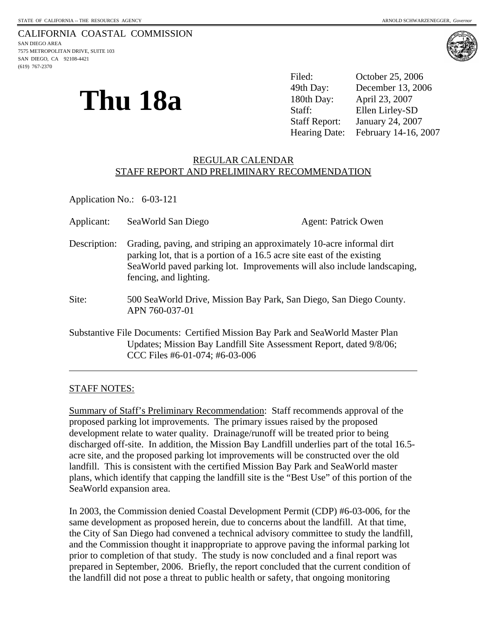(619) 767-2370



# **Thu 18a**

Filed: October 25, 2006 49th Day: December 13, 2006 180th Day: April 23, 2007 Staff: Ellen Lirley-SD Staff Report: January 24, 2007 Hearing Date: February 14-16, 2007

## REGULAR CALENDAR STAFF REPORT AND PRELIMINARY RECOMMENDATION

Application No.: 6-03-121

| Applicant:   | SeaWorld San Diego                                                                                                                                                                                                                                   | <b>Agent: Patrick Owen</b>                                                                                                                             |
|--------------|------------------------------------------------------------------------------------------------------------------------------------------------------------------------------------------------------------------------------------------------------|--------------------------------------------------------------------------------------------------------------------------------------------------------|
| Description: | Grading, paving, and striping an approximately 10-acre informal dirt<br>parking lot, that is a portion of a 16.5 acre site east of the existing<br>SeaWorld paved parking lot. Improvements will also include landscaping,<br>fencing, and lighting. |                                                                                                                                                        |
| Site:        | APN 760-037-01                                                                                                                                                                                                                                       | 500 SeaWorld Drive, Mission Bay Park, San Diego, San Diego County.                                                                                     |
|              | CCC Files #6-01-074; #6-03-006                                                                                                                                                                                                                       | Substantive File Documents: Certified Mission Bay Park and SeaWorld Master Plan<br>Updates; Mission Bay Landfill Site Assessment Report, dated 9/8/06; |

## STAFF NOTES:

l

Summary of Staff's Preliminary Recommendation: Staff recommends approval of the proposed parking lot improvements. The primary issues raised by the proposed development relate to water quality. Drainage/runoff will be treated prior to being discharged off-site. In addition, the Mission Bay Landfill underlies part of the total 16.5 acre site, and the proposed parking lot improvements will be constructed over the old landfill. This is consistent with the certified Mission Bay Park and SeaWorld master plans, which identify that capping the landfill site is the "Best Use" of this portion of the SeaWorld expansion area.

In 2003, the Commission denied Coastal Development Permit (CDP) #6-03-006, for the same development as proposed herein, due to concerns about the landfill. At that time, the City of San Diego had convened a technical advisory committee to study the landfill, and the Commission thought it inappropriate to approve paving the informal parking lot prior to completion of that study. The study is now concluded and a final report was prepared in September, 2006. Briefly, the report concluded that the current condition of the landfill did not pose a threat to public health or safety, that ongoing monitoring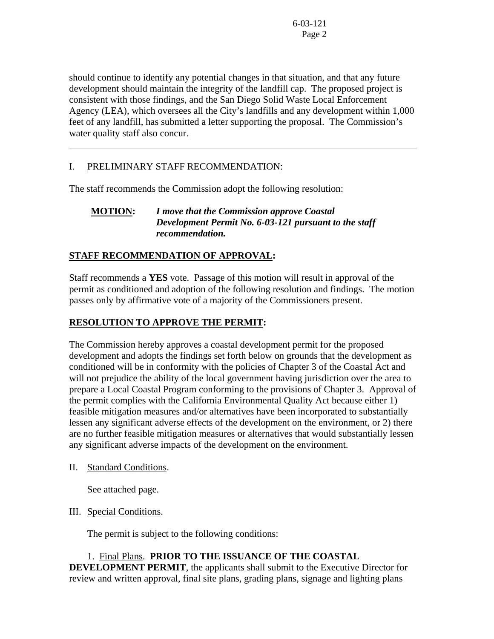should continue to identify any potential changes in that situation, and that any future development should maintain the integrity of the landfill cap. The proposed project is consistent with those findings, and the San Diego Solid Waste Local Enforcement Agency (LEA), which oversees all the City's landfills and any development within 1,000 feet of any landfill, has submitted a letter supporting the proposal. The Commission's water quality staff also concur.

# I. PRELIMINARY STAFF RECOMMENDATION:

l

The staff recommends the Commission adopt the following resolution:

## **MOTION:** *I move that the Commission approve Coastal Development Permit No. 6-03-121 pursuant to the staff recommendation.*

# **STAFF RECOMMENDATION OF APPROVAL:**

Staff recommends a **YES** vote. Passage of this motion will result in approval of the permit as conditioned and adoption of the following resolution and findings. The motion passes only by affirmative vote of a majority of the Commissioners present.

## **RESOLUTION TO APPROVE THE PERMIT:**

The Commission hereby approves a coastal development permit for the proposed development and adopts the findings set forth below on grounds that the development as conditioned will be in conformity with the policies of Chapter 3 of the Coastal Act and will not prejudice the ability of the local government having jurisdiction over the area to prepare a Local Coastal Program conforming to the provisions of Chapter 3. Approval of the permit complies with the California Environmental Quality Act because either 1) feasible mitigation measures and/or alternatives have been incorporated to substantially lessen any significant adverse effects of the development on the environment, or 2) there are no further feasible mitigation measures or alternatives that would substantially lessen any significant adverse impacts of the development on the environment.

II. Standard Conditions.

See attached page.

## III. Special Conditions.

The permit is subject to the following conditions:

 1. Final Plans. **PRIOR TO THE ISSUANCE OF THE COASTAL DEVELOPMENT PERMIT**, the applicants shall submit to the Executive Director for review and written approval, final site plans, grading plans, signage and lighting plans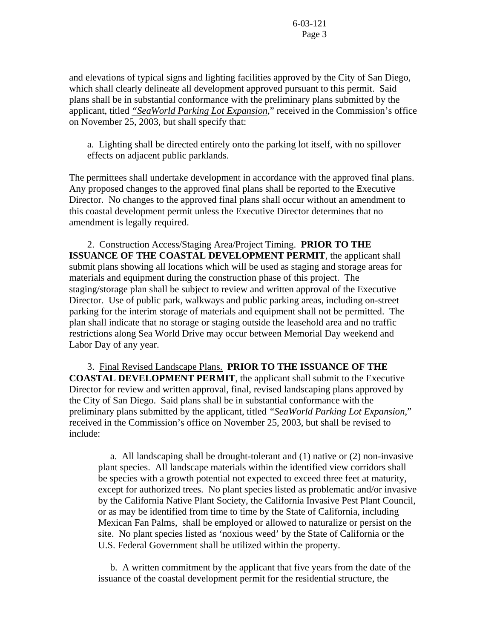and elevations of typical signs and lighting facilities approved by the City of San Diego, which shall clearly delineate all development approved pursuant to this permit. Said plans shall be in substantial conformance with the preliminary plans submitted by the applicant, titled *"SeaWorld Parking Lot Expansion*," received in the Commission's office on November 25, 2003, but shall specify that:

a. Lighting shall be directed entirely onto the parking lot itself, with no spillover effects on adjacent public parklands.

The permittees shall undertake development in accordance with the approved final plans. Any proposed changes to the approved final plans shall be reported to the Executive Director. No changes to the approved final plans shall occur without an amendment to this coastal development permit unless the Executive Director determines that no amendment is legally required.

 2. Construction Access/Staging Area/Project Timing. **PRIOR TO THE ISSUANCE OF THE COASTAL DEVELOPMENT PERMIT**, the applicant shall submit plans showing all locations which will be used as staging and storage areas for materials and equipment during the construction phase of this project. The staging/storage plan shall be subject to review and written approval of the Executive Director. Use of public park, walkways and public parking areas, including on-street parking for the interim storage of materials and equipment shall not be permitted. The plan shall indicate that no storage or staging outside the leasehold area and no traffic restrictions along Sea World Drive may occur between Memorial Day weekend and Labor Day of any year.

3. Final Revised Landscape Plans. **PRIOR TO THE ISSUANCE OF THE COASTAL DEVELOPMENT PERMIT**, the applicant shall submit to the Executive Director for review and written approval, final, revised landscaping plans approved by the City of San Diego. Said plans shall be in substantial conformance with the preliminary plans submitted by the applicant, titled *"SeaWorld Parking Lot Expansion*," received in the Commission's office on November 25, 2003, but shall be revised to include:

 a. All landscaping shall be drought-tolerant and (1) native or (2) non-invasive plant species. All landscape materials within the identified view corridors shall be species with a growth potential not expected to exceed three feet at maturity, except for authorized trees. No plant species listed as problematic and/or invasive by the California Native Plant Society, the California Invasive Pest Plant Council, or as may be identified from time to time by the State of California, including Mexican Fan Palms, shall be employed or allowed to naturalize or persist on the site. No plant species listed as 'noxious weed' by the State of California or the U.S. Federal Government shall be utilized within the property.

 b. A written commitment by the applicant that five years from the date of the issuance of the coastal development permit for the residential structure, the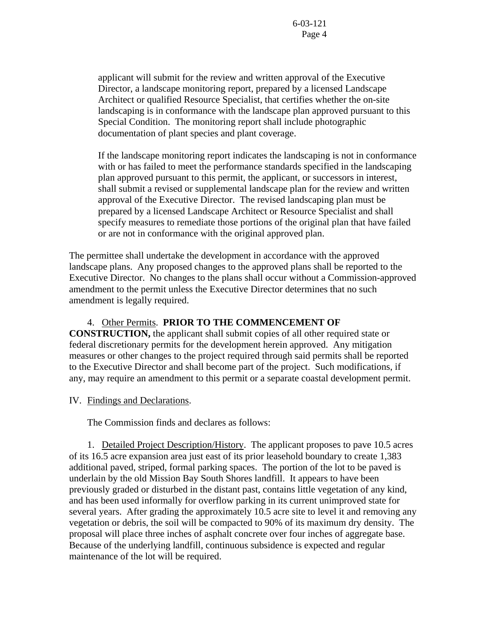applicant will submit for the review and written approval of the Executive Director, a landscape monitoring report, prepared by a licensed Landscape Architect or qualified Resource Specialist, that certifies whether the on-site landscaping is in conformance with the landscape plan approved pursuant to this Special Condition. The monitoring report shall include photographic documentation of plant species and plant coverage.

If the landscape monitoring report indicates the landscaping is not in conformance with or has failed to meet the performance standards specified in the landscaping plan approved pursuant to this permit, the applicant, or successors in interest, shall submit a revised or supplemental landscape plan for the review and written approval of the Executive Director. The revised landscaping plan must be prepared by a licensed Landscape Architect or Resource Specialist and shall specify measures to remediate those portions of the original plan that have failed or are not in conformance with the original approved plan.

The permittee shall undertake the development in accordance with the approved landscape plans. Any proposed changes to the approved plans shall be reported to the Executive Director. No changes to the plans shall occur without a Commission-approved amendment to the permit unless the Executive Director determines that no such amendment is legally required.

## 4. Other Permits. **PRIOR TO THE COMMENCEMENT OF CONSTRUCTION,** the applicant shall submit copies of all other required state or federal discretionary permits for the development herein approved. Any mitigation measures or other changes to the project required through said permits shall be reported to the Executive Director and shall become part of the project. Such modifications, if any, may require an amendment to this permit or a separate coastal development permit.

IV. Findings and Declarations.

The Commission finds and declares as follows:

 1. Detailed Project Description/History. The applicant proposes to pave 10.5 acres of its 16.5 acre expansion area just east of its prior leasehold boundary to create 1,383 additional paved, striped, formal parking spaces. The portion of the lot to be paved is underlain by the old Mission Bay South Shores landfill. It appears to have been previously graded or disturbed in the distant past, contains little vegetation of any kind, and has been used informally for overflow parking in its current unimproved state for several years. After grading the approximately 10.5 acre site to level it and removing any vegetation or debris, the soil will be compacted to 90% of its maximum dry density. The proposal will place three inches of asphalt concrete over four inches of aggregate base. Because of the underlying landfill, continuous subsidence is expected and regular maintenance of the lot will be required.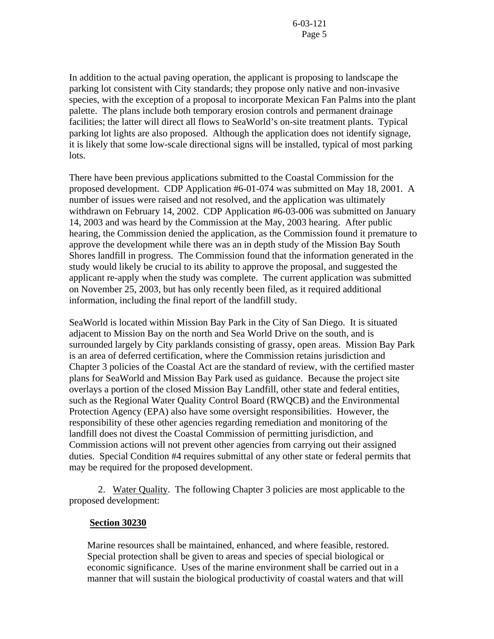In addition to the actual paving operation, the applicant is proposing to landscape the parking lot consistent with City standards; they propose only native and non-invasive species, with the exception of a proposal to incorporate Mexican Fan Palms into the plant palette. The plans include both temporary erosion controls and permanent drainage facilities; the latter will direct all flows to SeaWorld's on-site treatment plants. Typical parking lot lights are also proposed. Although the application does not identify signage, it is likely that some low-scale directional signs will be installed, typical of most parking lots.

There have been previous applications submitted to the Coastal Commission for the proposed development. CDP Application #6-01-074 was submitted on May 18, 2001. A number of issues were raised and not resolved, and the application was ultimately withdrawn on February 14, 2002. CDP Application #6-03-006 was submitted on January 14, 2003 and was heard by the Commission at the May, 2003 hearing. After public hearing, the Commission denied the application, as the Commission found it premature to approve the development while there was an in depth study of the Mission Bay South Shores landfill in progress. The Commission found that the information generated in the study would likely be crucial to its ability to approve the proposal, and suggested the applicant re-apply when the study was complete. The current application was submitted on November 25, 2003, but has only recently been filed, as it required additional information, including the final report of the landfill study.

SeaWorld is located within Mission Bay Park in the City of San Diego. It is situated adjacent to Mission Bay on the north and Sea World Drive on the south, and is surrounded largely by City parklands consisting of grassy, open areas. Mission Bay Park is an area of deferred certification, where the Commission retains jurisdiction and Chapter 3 policies of the Coastal Act are the standard of review, with the certified master plans for SeaWorld and Mission Bay Park used as guidance. Because the project site overlays a portion of the closed Mission Bay Landfill, other state and federal entities, such as the Regional Water Quality Control Board (RWQCB) and the Environmental Protection Agency (EPA) also have some oversight responsibilities. However, the responsibility of these other agencies regarding remediation and monitoring of the landfill does not divest the Coastal Commission of permitting jurisdiction, and Commission actions will not prevent other agencies from carrying out their assigned duties. Special Condition #4 requires submittal of any other state or federal permits that may be required for the proposed development.

 2. Water Quality. The following Chapter 3 policies are most applicable to the proposed development:

## **Section 30230**

Marine resources shall be maintained, enhanced, and where feasible, restored. Special protection shall be given to areas and species of special biological or economic significance. Uses of the marine environment shall be carried out in a manner that will sustain the biological productivity of coastal waters and that will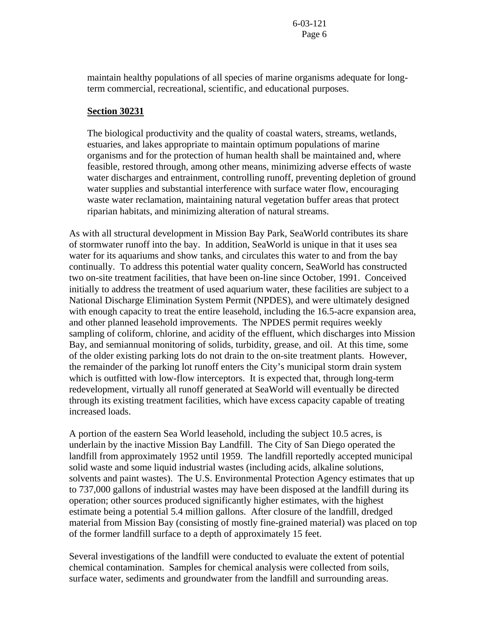maintain healthy populations of all species of marine organisms adequate for longterm commercial, recreational, scientific, and educational purposes.

## **Section 30231**

The biological productivity and the quality of coastal waters, streams, wetlands, estuaries, and lakes appropriate to maintain optimum populations of marine organisms and for the protection of human health shall be maintained and, where feasible, restored through, among other means, minimizing adverse effects of waste water discharges and entrainment, controlling runoff, preventing depletion of ground water supplies and substantial interference with surface water flow, encouraging waste water reclamation, maintaining natural vegetation buffer areas that protect riparian habitats, and minimizing alteration of natural streams.

As with all structural development in Mission Bay Park, SeaWorld contributes its share of stormwater runoff into the bay. In addition, SeaWorld is unique in that it uses sea water for its aquariums and show tanks, and circulates this water to and from the bay continually. To address this potential water quality concern, SeaWorld has constructed two on-site treatment facilities, that have been on-line since October, 1991. Conceived initially to address the treatment of used aquarium water, these facilities are subject to a National Discharge Elimination System Permit (NPDES), and were ultimately designed with enough capacity to treat the entire leasehold, including the 16.5-acre expansion area, and other planned leasehold improvements. The NPDES permit requires weekly sampling of coliform, chlorine, and acidity of the effluent, which discharges into Mission Bay, and semiannual monitoring of solids, turbidity, grease, and oil. At this time, some of the older existing parking lots do not drain to the on-site treatment plants. However, the remainder of the parking lot runoff enters the City's municipal storm drain system which is outfitted with low-flow interceptors. It is expected that, through long-term redevelopment, virtually all runoff generated at SeaWorld will eventually be directed through its existing treatment facilities, which have excess capacity capable of treating increased loads.

A portion of the eastern Sea World leasehold, including the subject 10.5 acres, is underlain by the inactive Mission Bay Landfill. The City of San Diego operated the landfill from approximately 1952 until 1959. The landfill reportedly accepted municipal solid waste and some liquid industrial wastes (including acids, alkaline solutions, solvents and paint wastes). The U.S. Environmental Protection Agency estimates that up to 737,000 gallons of industrial wastes may have been disposed at the landfill during its operation; other sources produced significantly higher estimates, with the highest estimate being a potential 5.4 million gallons. After closure of the landfill, dredged material from Mission Bay (consisting of mostly fine-grained material) was placed on top of the former landfill surface to a depth of approximately 15 feet.

Several investigations of the landfill were conducted to evaluate the extent of potential chemical contamination. Samples for chemical analysis were collected from soils, surface water, sediments and groundwater from the landfill and surrounding areas.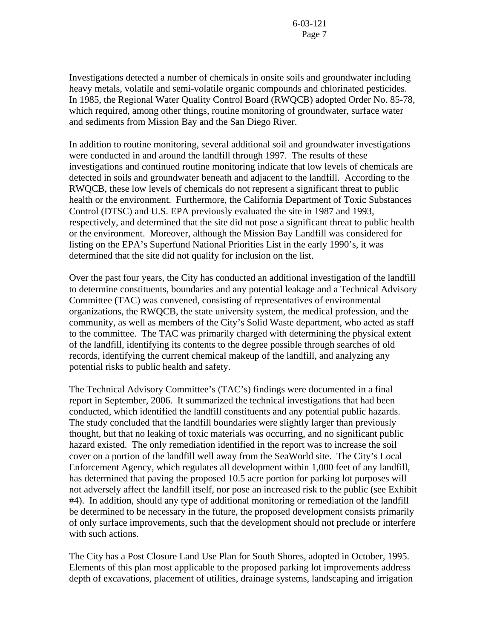Investigations detected a number of chemicals in onsite soils and groundwater including heavy metals, volatile and semi-volatile organic compounds and chlorinated pesticides. In 1985, the Regional Water Quality Control Board (RWQCB) adopted Order No. 85-78, which required, among other things, routine monitoring of groundwater, surface water and sediments from Mission Bay and the San Diego River.

In addition to routine monitoring, several additional soil and groundwater investigations were conducted in and around the landfill through 1997. The results of these investigations and continued routine monitoring indicate that low levels of chemicals are detected in soils and groundwater beneath and adjacent to the landfill. According to the RWQCB, these low levels of chemicals do not represent a significant threat to public health or the environment. Furthermore, the California Department of Toxic Substances Control (DTSC) and U.S. EPA previously evaluated the site in 1987 and 1993, respectively, and determined that the site did not pose a significant threat to public health or the environment. Moreover, although the Mission Bay Landfill was considered for listing on the EPA's Superfund National Priorities List in the early 1990's, it was determined that the site did not qualify for inclusion on the list.

Over the past four years, the City has conducted an additional investigation of the landfill to determine constituents, boundaries and any potential leakage and a Technical Advisory Committee (TAC) was convened, consisting of representatives of environmental organizations, the RWQCB, the state university system, the medical profession, and the community, as well as members of the City's Solid Waste department, who acted as staff to the committee. The TAC was primarily charged with determining the physical extent of the landfill, identifying its contents to the degree possible through searches of old records, identifying the current chemical makeup of the landfill, and analyzing any potential risks to public health and safety.

The Technical Advisory Committee's (TAC's) findings were documented in a final report in September, 2006. It summarized the technical investigations that had been conducted, which identified the landfill constituents and any potential public hazards. The study concluded that the landfill boundaries were slightly larger than previously thought, but that no leaking of toxic materials was occurring, and no significant public hazard existed. The only remediation identified in the report was to increase the soil cover on a portion of the landfill well away from the SeaWorld site. The City's Local Enforcement Agency, which regulates all development within 1,000 feet of any landfill, has determined that paving the proposed 10.5 acre portion for parking lot purposes will not adversely affect the landfill itself, nor pose an increased risk to the public (see Exhibit #4). In addition, should any type of additional monitoring or remediation of the landfill be determined to be necessary in the future, the proposed development consists primarily of only surface improvements, such that the development should not preclude or interfere with such actions.

The City has a Post Closure Land Use Plan for South Shores, adopted in October, 1995. Elements of this plan most applicable to the proposed parking lot improvements address depth of excavations, placement of utilities, drainage systems, landscaping and irrigation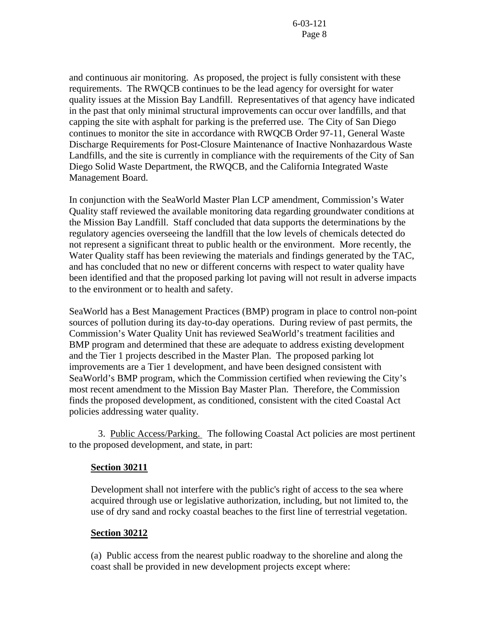and continuous air monitoring. As proposed, the project is fully consistent with these requirements. The RWQCB continues to be the lead agency for oversight for water quality issues at the Mission Bay Landfill. Representatives of that agency have indicated in the past that only minimal structural improvements can occur over landfills, and that capping the site with asphalt for parking is the preferred use. The City of San Diego continues to monitor the site in accordance with RWQCB Order 97-11, General Waste Discharge Requirements for Post-Closure Maintenance of Inactive Nonhazardous Waste Landfills, and the site is currently in compliance with the requirements of the City of San Diego Solid Waste Department, the RWQCB, and the California Integrated Waste Management Board.

In conjunction with the SeaWorld Master Plan LCP amendment, Commission's Water Quality staff reviewed the available monitoring data regarding groundwater conditions at the Mission Bay Landfill. Staff concluded that data supports the determinations by the regulatory agencies overseeing the landfill that the low levels of chemicals detected do not represent a significant threat to public health or the environment. More recently, the Water Quality staff has been reviewing the materials and findings generated by the TAC, and has concluded that no new or different concerns with respect to water quality have been identified and that the proposed parking lot paving will not result in adverse impacts to the environment or to health and safety.

SeaWorld has a Best Management Practices (BMP) program in place to control non-point sources of pollution during its day-to-day operations. During review of past permits, the Commission's Water Quality Unit has reviewed SeaWorld's treatment facilities and BMP program and determined that these are adequate to address existing development and the Tier 1 projects described in the Master Plan. The proposed parking lot improvements are a Tier 1 development, and have been designed consistent with SeaWorld's BMP program, which the Commission certified when reviewing the City's most recent amendment to the Mission Bay Master Plan. Therefore, the Commission finds the proposed development, as conditioned, consistent with the cited Coastal Act policies addressing water quality.

3. Public Access/Parking. The following Coastal Act policies are most pertinent to the proposed development, and state, in part:

## **Section 30211**

Development shall not interfere with the public's right of access to the sea where acquired through use or legislative authorization, including, but not limited to, the use of dry sand and rocky coastal beaches to the first line of terrestrial vegetation.

#### **Section 30212**

(a) Public access from the nearest public roadway to the shoreline and along the coast shall be provided in new development projects except where: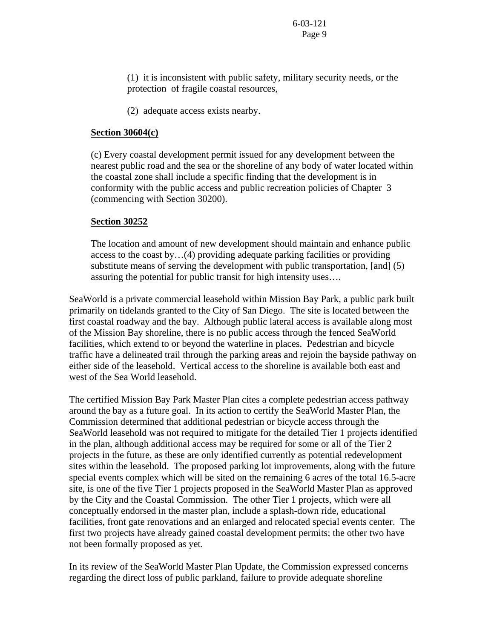(1) it is inconsistent with public safety, military security needs, or the protection of fragile coastal resources,

(2) adequate access exists nearby.

#### **Section 30604(c)**

(c) Every coastal development permit issued for any development between the nearest public road and the sea or the shoreline of any body of water located within the coastal zone shall include a specific finding that the development is in conformity with the public access and public recreation policies of Chapter 3 (commencing with Section 30200).

#### **Section 30252**

The location and amount of new development should maintain and enhance public access to the coast by…(4) providing adequate parking facilities or providing substitute means of serving the development with public transportation, [and] (5) assuring the potential for public transit for high intensity uses….

SeaWorld is a private commercial leasehold within Mission Bay Park, a public park built primarily on tidelands granted to the City of San Diego. The site is located between the first coastal roadway and the bay. Although public lateral access is available along most of the Mission Bay shoreline, there is no public access through the fenced SeaWorld facilities, which extend to or beyond the waterline in places. Pedestrian and bicycle traffic have a delineated trail through the parking areas and rejoin the bayside pathway on either side of the leasehold. Vertical access to the shoreline is available both east and west of the Sea World leasehold.

The certified Mission Bay Park Master Plan cites a complete pedestrian access pathway around the bay as a future goal. In its action to certify the SeaWorld Master Plan, the Commission determined that additional pedestrian or bicycle access through the SeaWorld leasehold was not required to mitigate for the detailed Tier 1 projects identified in the plan, although additional access may be required for some or all of the Tier 2 projects in the future, as these are only identified currently as potential redevelopment sites within the leasehold. The proposed parking lot improvements, along with the future special events complex which will be sited on the remaining 6 acres of the total 16.5-acre site, is one of the five Tier 1 projects proposed in the SeaWorld Master Plan as approved by the City and the Coastal Commission. The other Tier 1 projects, which were all conceptually endorsed in the master plan, include a splash-down ride, educational facilities, front gate renovations and an enlarged and relocated special events center. The first two projects have already gained coastal development permits; the other two have not been formally proposed as yet.

In its review of the SeaWorld Master Plan Update, the Commission expressed concerns regarding the direct loss of public parkland, failure to provide adequate shoreline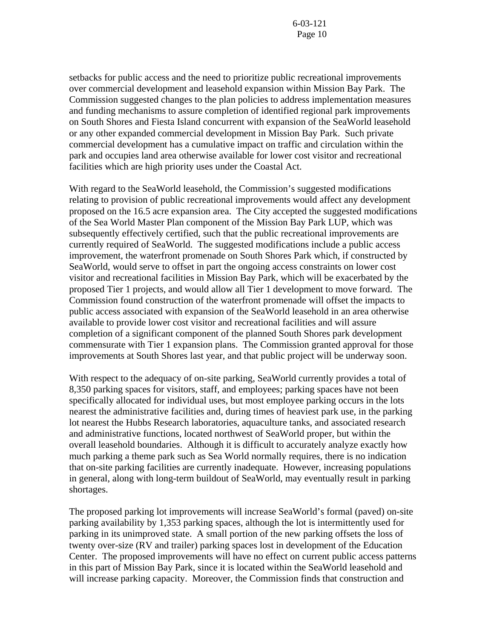setbacks for public access and the need to prioritize public recreational improvements over commercial development and leasehold expansion within Mission Bay Park. The Commission suggested changes to the plan policies to address implementation measures and funding mechanisms to assure completion of identified regional park improvements on South Shores and Fiesta Island concurrent with expansion of the SeaWorld leasehold or any other expanded commercial development in Mission Bay Park. Such private commercial development has a cumulative impact on traffic and circulation within the park and occupies land area otherwise available for lower cost visitor and recreational facilities which are high priority uses under the Coastal Act.

With regard to the SeaWorld leasehold, the Commission's suggested modifications relating to provision of public recreational improvements would affect any development proposed on the 16.5 acre expansion area. The City accepted the suggested modifications of the Sea World Master Plan component of the Mission Bay Park LUP, which was subsequently effectively certified, such that the public recreational improvements are currently required of SeaWorld. The suggested modifications include a public access improvement, the waterfront promenade on South Shores Park which, if constructed by SeaWorld, would serve to offset in part the ongoing access constraints on lower cost visitor and recreational facilities in Mission Bay Park, which will be exacerbated by the proposed Tier 1 projects, and would allow all Tier 1 development to move forward. The Commission found construction of the waterfront promenade will offset the impacts to public access associated with expansion of the SeaWorld leasehold in an area otherwise available to provide lower cost visitor and recreational facilities and will assure completion of a significant component of the planned South Shores park development commensurate with Tier 1 expansion plans. The Commission granted approval for those improvements at South Shores last year, and that public project will be underway soon.

With respect to the adequacy of on-site parking, SeaWorld currently provides a total of 8,350 parking spaces for visitors, staff, and employees; parking spaces have not been specifically allocated for individual uses, but most employee parking occurs in the lots nearest the administrative facilities and, during times of heaviest park use, in the parking lot nearest the Hubbs Research laboratories, aquaculture tanks, and associated research and administrative functions, located northwest of SeaWorld proper, but within the overall leasehold boundaries. Although it is difficult to accurately analyze exactly how much parking a theme park such as Sea World normally requires, there is no indication that on-site parking facilities are currently inadequate. However, increasing populations in general, along with long-term buildout of SeaWorld, may eventually result in parking shortages.

The proposed parking lot improvements will increase SeaWorld's formal (paved) on-site parking availability by 1,353 parking spaces, although the lot is intermittently used for parking in its unimproved state. A small portion of the new parking offsets the loss of twenty over-size (RV and trailer) parking spaces lost in development of the Education Center. The proposed improvements will have no effect on current public access patterns in this part of Mission Bay Park, since it is located within the SeaWorld leasehold and will increase parking capacity. Moreover, the Commission finds that construction and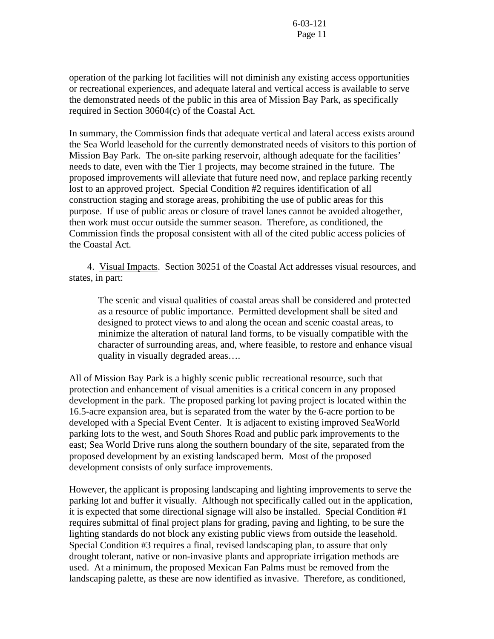operation of the parking lot facilities will not diminish any existing access opportunities or recreational experiences, and adequate lateral and vertical access is available to serve the demonstrated needs of the public in this area of Mission Bay Park, as specifically required in Section 30604(c) of the Coastal Act.

In summary, the Commission finds that adequate vertical and lateral access exists around the Sea World leasehold for the currently demonstrated needs of visitors to this portion of Mission Bay Park. The on-site parking reservoir, although adequate for the facilities' needs to date, even with the Tier 1 projects, may become strained in the future. The proposed improvements will alleviate that future need now, and replace parking recently lost to an approved project. Special Condition #2 requires identification of all construction staging and storage areas, prohibiting the use of public areas for this purpose. If use of public areas or closure of travel lanes cannot be avoided altogether, then work must occur outside the summer season. Therefore, as conditioned, the Commission finds the proposal consistent with all of the cited public access policies of the Coastal Act.

 4. Visual Impacts. Section 30251 of the Coastal Act addresses visual resources, and states, in part:

The scenic and visual qualities of coastal areas shall be considered and protected as a resource of public importance. Permitted development shall be sited and designed to protect views to and along the ocean and scenic coastal areas, to minimize the alteration of natural land forms, to be visually compatible with the character of surrounding areas, and, where feasible, to restore and enhance visual quality in visually degraded areas….

All of Mission Bay Park is a highly scenic public recreational resource, such that protection and enhancement of visual amenities is a critical concern in any proposed development in the park. The proposed parking lot paving project is located within the 16.5-acre expansion area, but is separated from the water by the 6-acre portion to be developed with a Special Event Center. It is adjacent to existing improved SeaWorld parking lots to the west, and South Shores Road and public park improvements to the east; Sea World Drive runs along the southern boundary of the site, separated from the proposed development by an existing landscaped berm. Most of the proposed development consists of only surface improvements.

However, the applicant is proposing landscaping and lighting improvements to serve the parking lot and buffer it visually. Although not specifically called out in the application, it is expected that some directional signage will also be installed. Special Condition #1 requires submittal of final project plans for grading, paving and lighting, to be sure the lighting standards do not block any existing public views from outside the leasehold. Special Condition #3 requires a final, revised landscaping plan, to assure that only drought tolerant, native or non-invasive plants and appropriate irrigation methods are used. At a minimum, the proposed Mexican Fan Palms must be removed from the landscaping palette, as these are now identified as invasive. Therefore, as conditioned,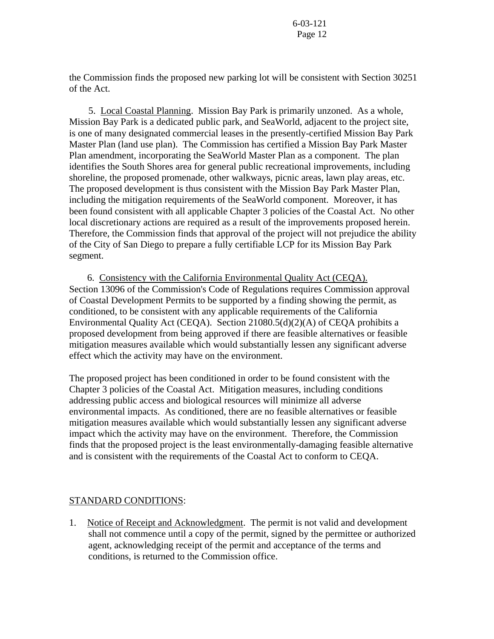the Commission finds the proposed new parking lot will be consistent with Section 30251 of the Act.

 5. Local Coastal Planning. Mission Bay Park is primarily unzoned. As a whole, Mission Bay Park is a dedicated public park, and SeaWorld, adjacent to the project site, is one of many designated commercial leases in the presently-certified Mission Bay Park Master Plan (land use plan). The Commission has certified a Mission Bay Park Master Plan amendment, incorporating the SeaWorld Master Plan as a component. The plan identifies the South Shores area for general public recreational improvements, including shoreline, the proposed promenade, other walkways, picnic areas, lawn play areas, etc. The proposed development is thus consistent with the Mission Bay Park Master Plan, including the mitigation requirements of the SeaWorld component. Moreover, it has been found consistent with all applicable Chapter 3 policies of the Coastal Act. No other local discretionary actions are required as a result of the improvements proposed herein. Therefore, the Commission finds that approval of the project will not prejudice the ability of the City of San Diego to prepare a fully certifiable LCP for its Mission Bay Park segment.

 6. Consistency with the California Environmental Quality Act (CEQA). Section 13096 of the Commission's Code of Regulations requires Commission approval of Coastal Development Permits to be supported by a finding showing the permit, as conditioned, to be consistent with any applicable requirements of the California Environmental Quality Act (CEQA). Section 21080.5(d)(2)(A) of CEQA prohibits a proposed development from being approved if there are feasible alternatives or feasible mitigation measures available which would substantially lessen any significant adverse effect which the activity may have on the environment.

The proposed project has been conditioned in order to be found consistent with the Chapter 3 policies of the Coastal Act. Mitigation measures, including conditions addressing public access and biological resources will minimize all adverse environmental impacts. As conditioned, there are no feasible alternatives or feasible mitigation measures available which would substantially lessen any significant adverse impact which the activity may have on the environment. Therefore, the Commission finds that the proposed project is the least environmentally-damaging feasible alternative and is consistent with the requirements of the Coastal Act to conform to CEQA.

## STANDARD CONDITIONS:

1. Notice of Receipt and Acknowledgment. The permit is not valid and development shall not commence until a copy of the permit, signed by the permittee or authorized agent, acknowledging receipt of the permit and acceptance of the terms and conditions, is returned to the Commission office.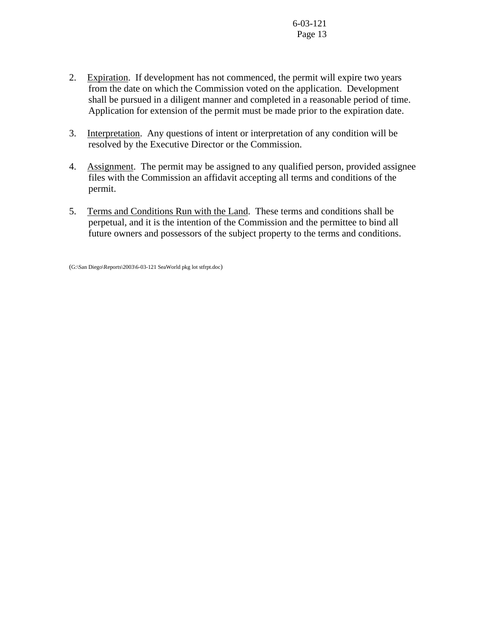- 2. Expiration. If development has not commenced, the permit will expire two years from the date on which the Commission voted on the application. Development shall be pursued in a diligent manner and completed in a reasonable period of time. Application for extension of the permit must be made prior to the expiration date.
- 3. Interpretation. Any questions of intent or interpretation of any condition will be resolved by the Executive Director or the Commission.
- 4. Assignment. The permit may be assigned to any qualified person, provided assignee files with the Commission an affidavit accepting all terms and conditions of the permit.
- 5. Terms and Conditions Run with the Land. These terms and conditions shall be perpetual, and it is the intention of the Commission and the permittee to bind all future owners and possessors of the subject property to the terms and conditions.

(G:\San Diego\Reports\2003\6-03-121 SeaWorld pkg lot stfrpt.doc)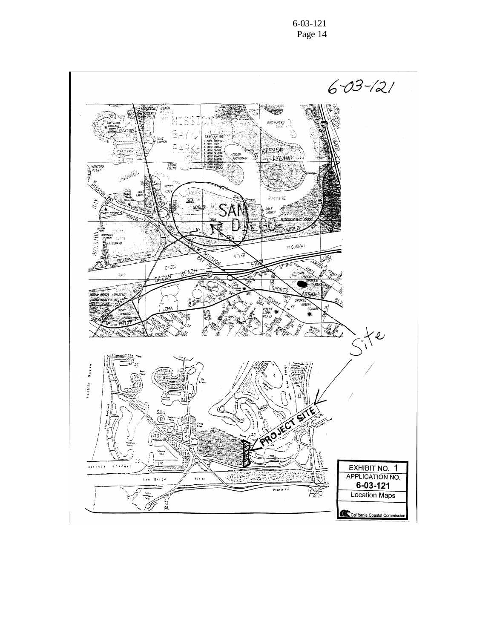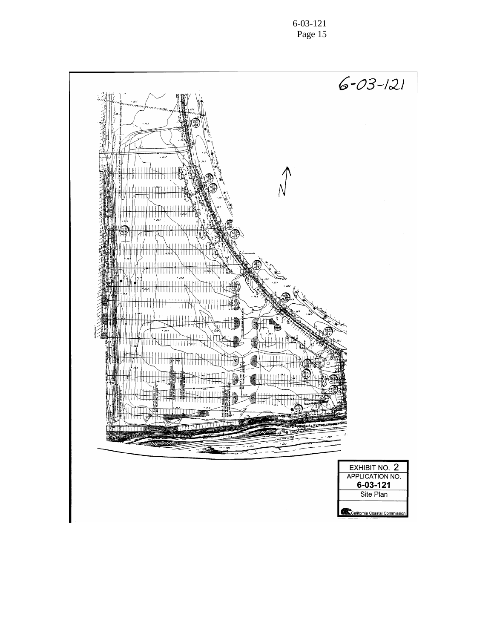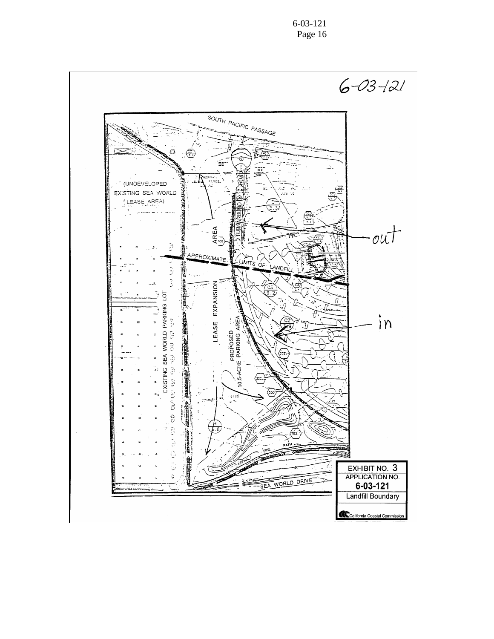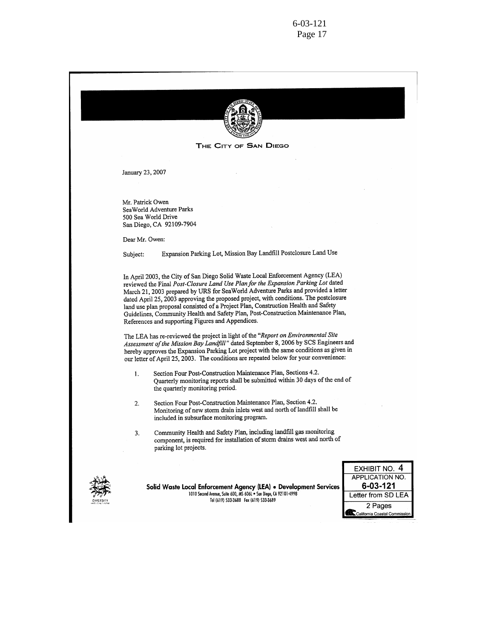

THE CITY OF SAN DIEGO

January 23, 2007

Mr. Patrick Owen SeaWorld Adventure Parks 500 Sea World Drive San Diego, CA 92109-7904

Dear Mr. Owen:

Expansion Parking Lot, Mission Bay Landfill Postclosure Land Use Subject:

In April 2003, the City of San Diego Solid Waste Local Enforcement Agency (LEA) reviewed the Final Post-Closure Land Use Plan for the Expansion Parking Lot dated March 21, 2003 prepared by URS for SeaWorld Adventure Parks and provided a letter dated April 25, 2003 approving the proposed project, with conditions. The postclosure land use plan proposal consisted of a Project Plan, Construction Health and Safety Guidelines, Community Health and Safety Plan, Post-Construction Maintenance Plan, References and supporting Figures and Appendices.

The LEA has re-reviewed the project in light of the "Report on Environmental Site Assessment of the Mission Bay Landfill" dated September 8, 2006 by SCS Engineers and hereby approves the Expansion Parking Lot project with the same conditions as given in our letter of April 25, 2003. The conditions are repeated below for your convenience:

- Section Four Post-Construction Maintenance Plan, Sections 4.2. 1. Quarterly monitoring reports shall be submitted within 30 days of the end of the quarterly monitoring period.
- Section Four Post-Construction Maintenance Plan, Section 4.2. 2. Monitoring of new storm drain inlets west and north of landfill shall be included in subsurface monitoring program.
- Community Health and Safety Plan, including landfill gas monitoring 3. component, is required for installation of storm drains west and north of parking lot projects.



Solid Waste Local Enforcement Agency (LEA) . Development Services 1010 Second Avenue, Suite 600, MS 606L . San Diego, CA 92101-4998 Tel (619) 533-3688 Fax (619) 533-3689